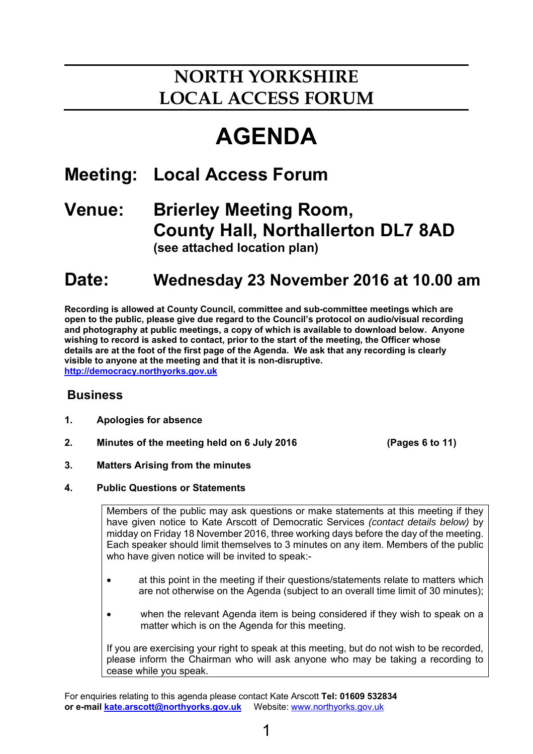# **NORTH YORKSHIRE LOCAL ACCESS FORUM**

# **AGENDA**

### **Meeting: Local Access Forum**

### **Venue: Brierley Meeting Room, County Hall, Northallerton DL7 8AD (see attached location plan)**

## **Date: Wednesday 23 November 2016 at 10.00 am**

 **Recording is allowed at County Council, committee and sub-committee meetings which are open to the public, please give due regard to the Council's protocol on audio/visual recording and photography at public meetings, a copy of which is available to download below. Anyone wishing to record is asked to contact, prior to the start of the meeting, the Officer whose details are at the foot of the first page of the Agenda. We ask that any recording is clearly visible to anyone at the meeting and that it is non-disruptive. http://democracy.northyorks.gov.uk**

#### **Business**

- **1. Apologies for absence**
- **2. Minutes of the meeting held on 6 July 2016 (Pages 6 to 11)**

- **3. Matters Arising from the minutes**
- **4. Public Questions or Statements**

Members of the public may ask questions or make statements at this meeting if they have given notice to Kate Arscott of Democratic Services *(contact details below)* by midday on Friday 18 November 2016, three working days before the day of the meeting. Each speaker should limit themselves to 3 minutes on any item. Members of the public who have given notice will be invited to speak:-

- at this point in the meeting if their questions/statements relate to matters which are not otherwise on the Agenda (subject to an overall time limit of 30 minutes);
- when the relevant Agenda item is being considered if they wish to speak on a matter which is on the Agenda for this meeting.

If you are exercising your right to speak at this meeting, but do not wish to be recorded, please inform the Chairman who will ask anyone who may be taking a recording to cease while you speak.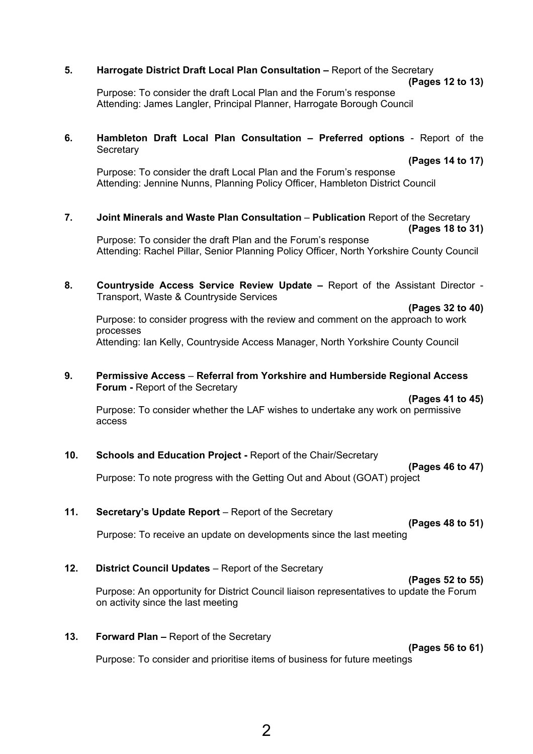#### **5.** Harrogate District Draft Local Plan Consultation – Report of the Secretary

Purpose: To consider the draft Local Plan and the Forum's response Attending: James Langler, Principal Planner, Harrogate Borough Council

#### **6. Hambleton Draft Local Plan Consultation – Preferred options** - Report of the **Secretary**

 **(Pages 14 to 17)**

Purpose: To consider the draft Local Plan and the Forum's response Attending: Jennine Nunns, Planning Policy Officer, Hambleton District Council

**7. Joint Minerals and Waste Plan Consultation** – **Publication** Report of the Secretary **(Pages 18 to 31)**

Purpose: To consider the draft Plan and the Forum's response Attending: Rachel Pillar, Senior Planning Policy Officer, North Yorkshire County Council

**8. Countryside Access Service Review Update –** Report of the Assistant Director - Transport, Waste & Countryside Services

 **(Pages 32 to 40)**  Purpose: to consider progress with the review and comment on the approach to work processes Attending: Ian Kelly, Countryside Access Manager, North Yorkshire County Council

#### **9. Permissive Access** – **Referral from Yorkshire and Humberside Regional Access Forum - Report of the Secretary**

**(Pages 41 to 45)**

Purpose: To consider whether the LAF wishes to undertake any work on permissive access

#### **10. Schools and Education Project -** Report of the Chair/Secretary

**(Pages 46 to 47)**

Purpose: To note progress with the Getting Out and About (GOAT) project

#### **11.** Secretary's Update Report – Report of the Secretary

**(Pages 48 to 51)**

Purpose: To receive an update on developments since the last meeting

#### 12. **District Council Updates** – Report of the Secretary

**(Pages 52 to 55)**  Purpose: An opportunity for District Council liaison representatives to update the Forum on activity since the last meeting

#### **13. Forward Plan –** Report of the Secretary

**(Pages 56 to 61)** 

Purpose: To consider and prioritise items of business for future meetings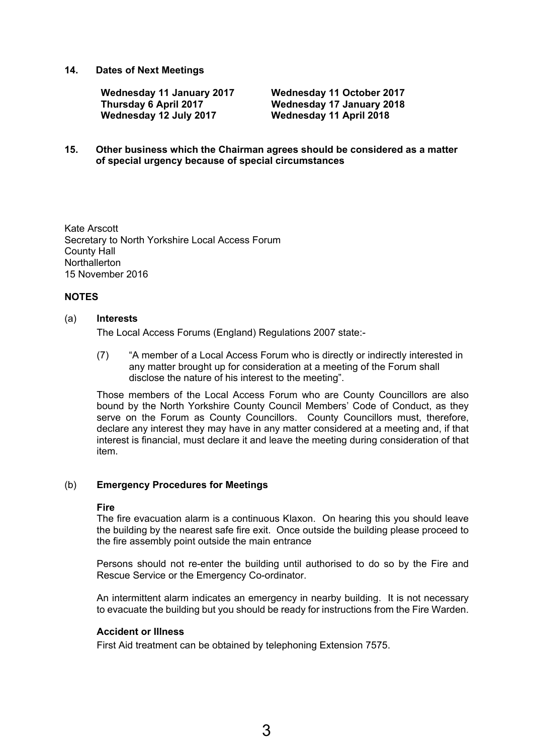#### **14. Dates of Next Meetings**

**Wednesday 11 January 2017 Wednesday 11 October 2017 Thursday 6 April 2017 Wednesday 17 January 2018** 

**Wednesday 11 April 2018** 

#### **15. Other business which the Chairman agrees should be considered as a matter of special urgency because of special circumstances**

Kate Arscott Secretary to North Yorkshire Local Access Forum County Hall Northallerton 15 November 2016

#### **NOTES**

#### (a) **Interests**

The Local Access Forums (England) Regulations 2007 state:-

(7) "A member of a Local Access Forum who is directly or indirectly interested in any matter brought up for consideration at a meeting of the Forum shall disclose the nature of his interest to the meeting".

Those members of the Local Access Forum who are County Councillors are also bound by the North Yorkshire County Council Members' Code of Conduct, as they serve on the Forum as County Councillors. County Councillors must, therefore, declare any interest they may have in any matter considered at a meeting and, if that interest is financial, must declare it and leave the meeting during consideration of that item.

#### (b) **Emergency Procedures for Meetings**

#### **Fire**

The fire evacuation alarm is a continuous Klaxon. On hearing this you should leave the building by the nearest safe fire exit. Once outside the building please proceed to the fire assembly point outside the main entrance

Persons should not re-enter the building until authorised to do so by the Fire and Rescue Service or the Emergency Co-ordinator.

An intermittent alarm indicates an emergency in nearby building. It is not necessary to evacuate the building but you should be ready for instructions from the Fire Warden.

#### **Accident or Illness**

First Aid treatment can be obtained by telephoning Extension 7575.